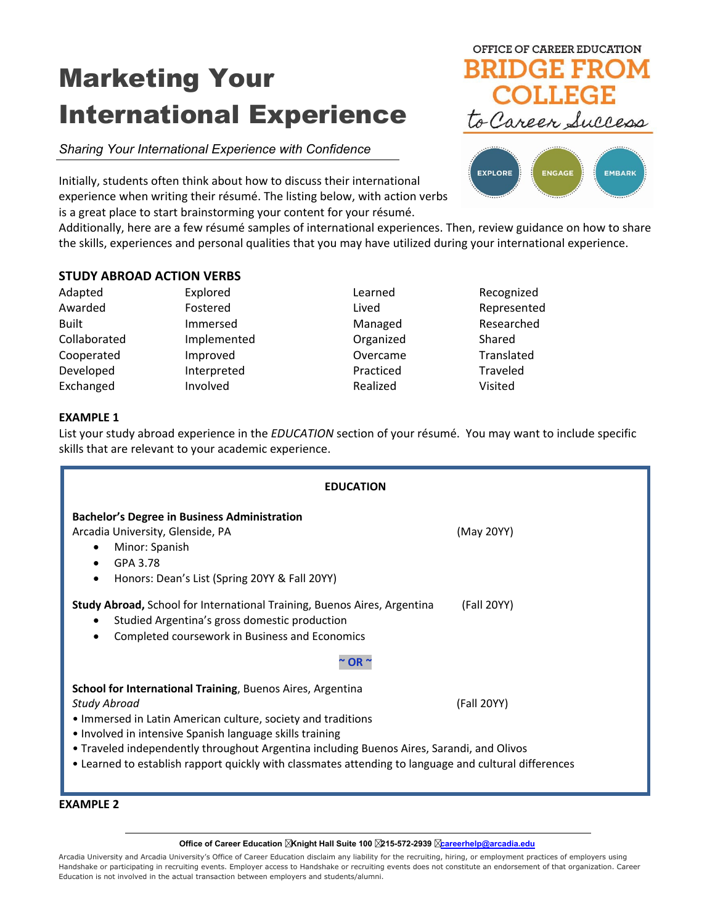# Marketing Your International Experience

# *Sharing Your International Experience with Confidence*

Initially, students often think about how to discuss their international experience when writing their résumé. The listing below, with action verbs is a great place to start brainstorming your content for your résumé.





Additionally, here are a few résumé samples of international experiences. Then, review guidance on how to share the skills, experiences and personal qualities that you may have utilized during your international experience.

## **STUDY ABROAD ACTION VERBS**

Adapted Explored Explored Learned Recognized Awarded **Fostered** Fostered **Lived Lived** Represented Built **Immersed** Managed Researched Collaborated Implemented Organized Shared Cooperated Improved Cooperated Translated Developed Interpreted Practiced Traveled Exchanged Involved Realized Visited

## **EXAMPLE 1**

List your study abroad experience in the *EDUCATION* section of your résumé. You may want to include specific skills that are relevant to your academic experience.

| <b>EDUCATION</b>                                                                                                                                                                                                                                                                                                                                                                                                                          |            |  |
|-------------------------------------------------------------------------------------------------------------------------------------------------------------------------------------------------------------------------------------------------------------------------------------------------------------------------------------------------------------------------------------------------------------------------------------------|------------|--|
| <b>Bachelor's Degree in Business Administration</b><br>Arcadia University, Glenside, PA<br>Minor: Spanish<br>٠<br>GPA 3.78<br>Honors: Dean's List (Spring 20YY & Fall 20YY)                                                                                                                                                                                                                                                               | (May 20YY) |  |
| (Fall 20YY)<br><b>Study Abroad,</b> School for International Training, Buenos Aires, Argentina<br>Studied Argentina's gross domestic production<br>Completed coursework in Business and Economics<br>OR ~                                                                                                                                                                                                                                 |            |  |
| <b>School for International Training, Buenos Aires, Argentina</b><br><b>Study Abroad</b><br>(Fall 20YY)<br>. Immersed in Latin American culture, society and traditions<br>. Involved in intensive Spanish language skills training<br>. Traveled independently throughout Argentina including Buenos Aires, Sarandi, and Olivos<br>• Learned to establish rapport quickly with classmates attending to language and cultural differences |            |  |

**EXAMPLE 2**

**Office of Career Education Knight Hall Suite 100 215-572-2939 [careerhelp@arcadia.edu](mailto:careerhelp@arcadia.edu)**

Arcadia University and Arcadia University's Office of Career Education disclaim any liability for the recruiting, hiring, or employment practices of employers using Handshake or participating in recruiting events. Employer access to Handshake or recruiting events does not constitute an endorsement of that organization. Career Education is not involved in the actual transaction between employers and students/alumni.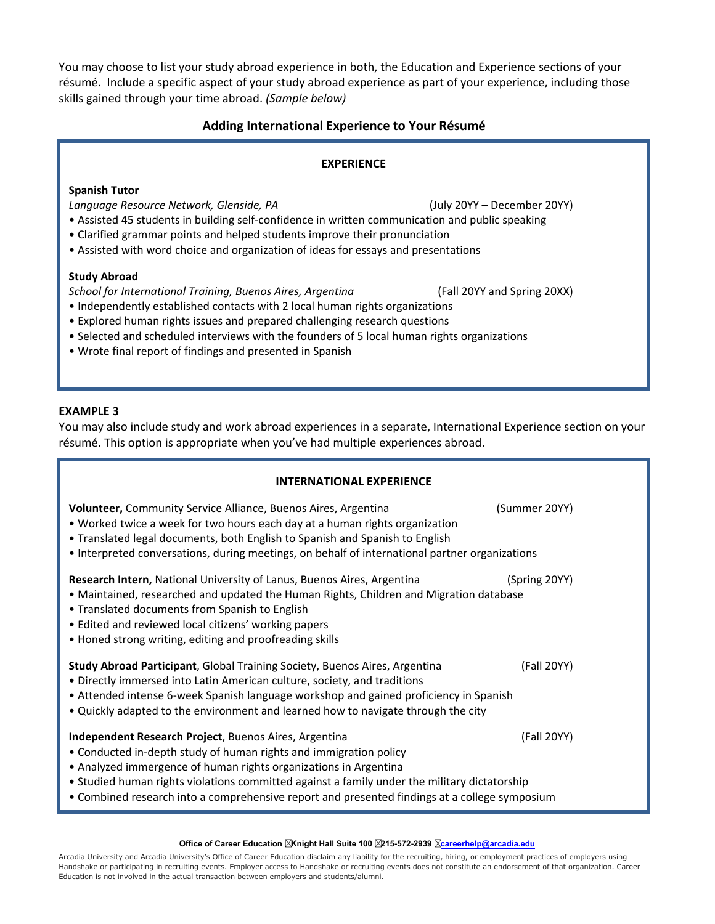You may choose to list your study abroad experience in both, the Education and Experience sections of your résumé. Include a specific aspect of your study abroad experience as part of your experience, including those skills gained through your time abroad. *(Sample below)*

# **Adding International Experience to Your Résumé**

## **EXPERIENCE**

## **Spanish Tutor**

*Language Resource Network, Glenside, PA* (July 20YY – December 20YY)

- Assisted 45 students in building self-confidence in written communication and public speaking
- Clarified grammar points and helped students improve their pronunciation
- Assisted with word choice and organization of ideas for essays and presentations

#### **Study Abroad**

*School for International Training, Buenos Aires, Argentina* (Fall 20YY and Spring 20XX) • Independently established contacts with 2 local human rights organizations

- Explored human rights issues and prepared challenging research questions
- Selected and scheduled interviews with the founders of 5 local human rights organizations
- Wrote final report of findings and presented in Spanish

#### **EXAMPLE 3**

You may also include study and work abroad experiences in a separate, International Experience section on your résumé. This option is appropriate when you've had multiple experiences abroad.

| <b>INTERNATIONAL EXPERIENCE</b>                                                                                                                                                                                                                                                                                                                                                                 |               |  |
|-------------------------------------------------------------------------------------------------------------------------------------------------------------------------------------------------------------------------------------------------------------------------------------------------------------------------------------------------------------------------------------------------|---------------|--|
| Volunteer, Community Service Alliance, Buenos Aires, Argentina<br>• Worked twice a week for two hours each day at a human rights organization<br>• Translated legal documents, both English to Spanish and Spanish to English<br>• Interpreted conversations, during meetings, on behalf of international partner organizations                                                                 | (Summer 20YY) |  |
| Research Intern, National University of Lanus, Buenos Aires, Argentina<br>• Maintained, researched and updated the Human Rights, Children and Migration database<br>• Translated documents from Spanish to English<br>• Edited and reviewed local citizens' working papers<br>• Honed strong writing, editing and proofreading skills                                                           | (Spring 20YY) |  |
| Study Abroad Participant, Global Training Society, Buenos Aires, Argentina<br>• Directly immersed into Latin American culture, society, and traditions<br>• Attended intense 6-week Spanish language workshop and gained proficiency in Spanish<br>. Quickly adapted to the environment and learned how to navigate through the city                                                            | (Fall 20YY)   |  |
| Independent Research Project, Buenos Aires, Argentina<br>• Conducted in-depth study of human rights and immigration policy<br>• Analyzed immergence of human rights organizations in Argentina<br>• Studied human rights violations committed against a family under the military dictatorship<br>• Combined research into a comprehensive report and presented findings at a college symposium | (Fall 20YY)   |  |

**Office of Career Education Knight Hall Suite 100 215-572-2939 [careerhelp@arcadia.edu](mailto:careerhelp@arcadia.edu)**

Arcadia University and Arcadia University's Office of Career Education disclaim any liability for the recruiting, hiring, or employment practices of employers using Handshake or participating in recruiting events. Employer access to Handshake or recruiting events does not constitute an endorsement of that organization. Career Education is not involved in the actual transaction between employers and students/alumni.